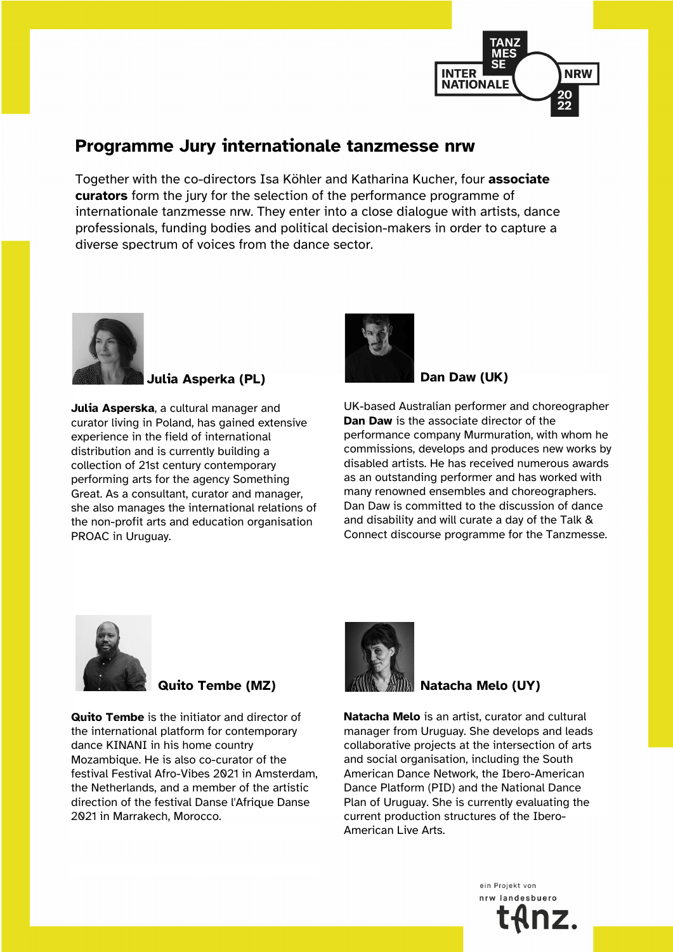

# **Programme Jury internationale tanzmesse nrw**

Together with the co-directors Isa Köhler and Katharina Kucher, four **associate curators** form the jury for the selection of the performance programme of internationale tanzmesse nrw. They enter into a close dialogue with artists, dance professionals, funding bodies and political decision-makers in order to capture a diverse spectrum of voices from the dance sector.



**Julia Asperka (PL)**

**Julia Asperska**, a cultural manager and curator living in Poland, has gained extensive experience in the field of international distribution and is currently building a collection of 21st century contemporary performing arts for the agency Something Great. As a consultant, curator and manager, she also manages the international relations of the non-profit arts and education organisation PROAC in Uruguay.



**Dan Daw (UK)**

UK-based Australian performer and choreographer **Dan Daw** is the associate director of the performance company Murmuration, with whom he commissions, develops and produces new works by disabled artists. He has received numerous awards as an outstanding performer and has worked with many renowned ensembles and choreographers. Dan Daw is committed to the discussion of dance and disability and will curate a day of the Talk & Connect discourse programme for the Tanzmesse.



### **Quito Tembe (MZ)**

**Quito Tembe** is the initiator and director of the international platform for contemporary dance KINANI in his home country Mozambique. He is also co-curator of the festival Festival Afro-Vibes 2021 in Amsterdam, the Netherlands, and a member of the artistic direction of the festival Danse l'Afrique Danse 2021 in Marrakech, Morocco.



## **Natacha Melo (UY)**

**Natacha Melo** is an artist, curator and cultural manager from Uruguay. She develops and leads collaborative projects at the intersection of arts and social organisation, including the South American Dance Network, the Ibero-American Dance Platform (PID) and the National Dance Plan of Uruguay. She is currently evaluating the current production structures of the Ibero-American Live Arts.

> ein Projekt von nrw landesbuerd